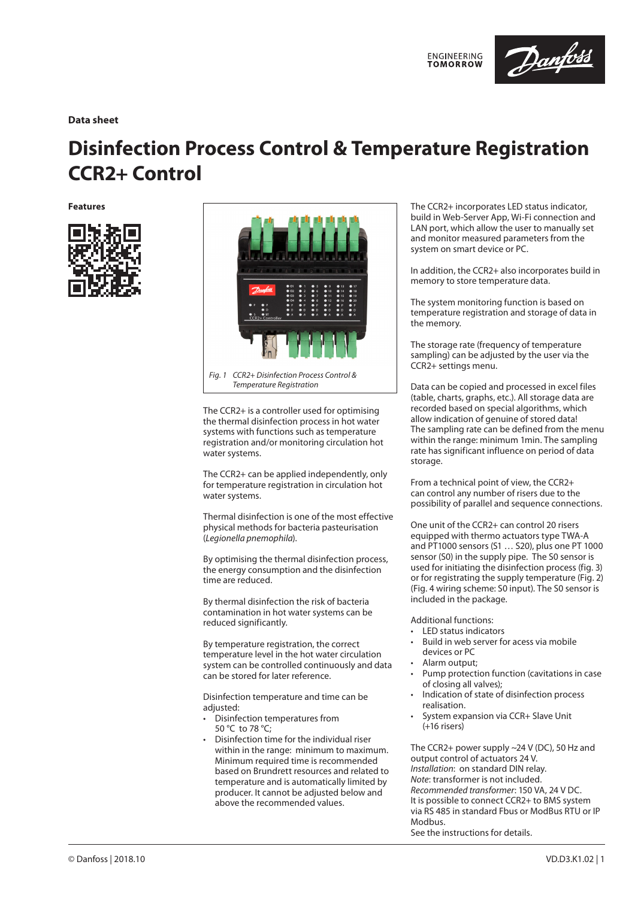

# **Data sheet**

# **Disinfection Process Control & Temperature Registration CCR2+ Control**

**Features**





*Temperature Registration*

The CCR2+ is a controller used for optimising the thermal disinfection process in hot water systems with functions such as temperature registration and/or monitoring circulation hot water systems.

The CCR2+ can be applied independently, only for temperature registration in circulation hot water systems.

Thermal disinfection is one of the most effective physical methods for bacteria pasteurisation (*Legionella pnemophila*).

By optimising the thermal disinfection process, the energy consumption and the disinfection time are reduced.

By thermal disinfection the risk of bacteria contamination in hot water systems can be reduced significantly.

By temperature registration, the correct temperature level in the hot water circulation system can be controlled continuously and data can be stored for later reference.

Disinfection temperature and time can be adiusted:

- Disinfection temperatures from 50 °C to 78 °C;
- Disinfection time for the individual riser within in the range: minimum to maximum. Minimum required time is recommended based on Brundrett resources and related to temperature and is automatically limited by producer. It cannot be adjusted below and above the recommended values.

The CCR2+ incorporates LED status indicator, build in Web-Server App, Wi-Fi connection and LAN port, which allow the user to manually set and monitor measured parameters from the system on smart device or PC.

In addition, the CCR2+ also incorporates build in memory to store temperature data.

The system monitoring function is based on temperature registration and storage of data in the memory.

The storage rate (frequency of temperature sampling) can be adjusted by the user via the CCR2+ settings menu.

Data can be copied and processed in excel files (table, charts, graphs, etc.). All storage data are recorded based on special algorithms, which allow indication of genuine of stored data! The sampling rate can be defined from the menu within the range: minimum 1min. The sampling rate has significant influence on period of data storage.

From a technical point of view, the CCR2+ can control any number of risers due to the possibility of parallel and sequence connections.

One unit of the CCR2+ can control 20 risers equipped with thermo actuators type TWA-A and PT1000 sensors (S1 … S20), plus one PT 1000 sensor (S0) in the supply pipe. The S0 sensor is used for initiating the disinfection process (fig. 3) or for registrating the supply temperature (Fig. 2) (Fig. 4 wiring scheme: S0 input). The S0 sensor is included in the package.

Additional functions:

- LED status indicators
- Build in web server for acess via mobile devices or PC
- Alarm output;
- Pump protection function (cavitations in case of closing all valves);
- Indication of state of disinfection process realisation.
- System expansion via CCR+ Slave Unit (+16 risers)

The CCR2+ power supply ~24 V (DC), 50 Hz and output control of actuators 24 V. *Installation*: on standard DIN relay. *Note*: transformer is not included. *Recommended transformer*: 150 VA, 24 V DC. It is possible to connect CCR2+ to BMS system via RS 485 in standard Fbus or ModBus RTU or IP Modbus.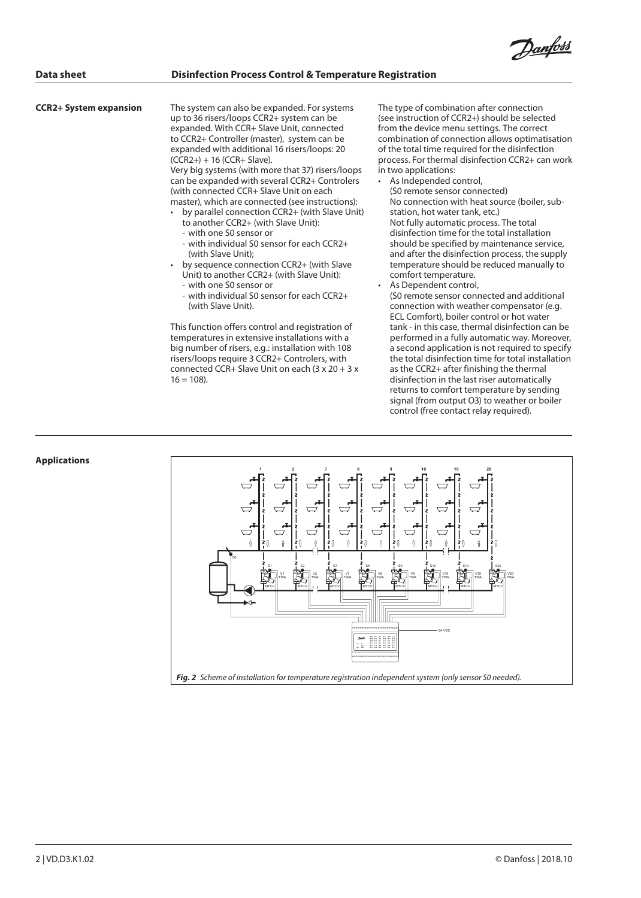<u>Danfoss</u>

#### **CCR2+ System expansion**

The system can also be expanded. For systems up to 36 risers/loops CCR2+ system can be expanded. With CCR+ Slave Unit, connected to CCR2+ Controller (master), system can be expanded with additional 16 risers/loops: 20 (CCR2+) + 16 (CCR+ Slave).

Very big systems (with more that 37) risers/loops can be expanded with several CCR2+ Controlers (with connected CCR+ Slave Unit on each master), which are connected (see instructions):

- by parallel connection CCR2+ (with Slave Unit) to another CCR2+ (with Slave Unit):
	- with one S0 sensor or
	- with individual S0 sensor for each CCR2+ (with Slave Unit);
- by sequence connection CCR2+ (with Slave Unit) to another CCR2+ (with Slave Unit):
	- with one S0 sensor or
	- with individual S0 sensor for each CCR2+ (with Slave Unit).

This function offers control and registration of temperatures in extensive installations with a big number of risers, e.g.: installation with 108 risers/loops require 3 CCR2+ Controlers, with connected CCR+ Slave Unit on each (3 x 20 + 3 x  $16 = 108$ ).

The type of combination after connection (see instruction of CCR2+) should be selected from the device menu settings. The correct combination of connection allows optimatisation of the total time required for the disinfection process. For thermal disinfection CCR2+ can work in two applications:

As Independed control,

(S0 remote sensor connected) No connection with heat source (boiler, substation, hot water tank, etc.) Not fully automatic process. The total disinfection time for the total installation should be specified by maintenance service, and after the disinfection process, the supply temperature should be reduced manually to comfort temperature.

- As Dependent control,
- (S0 remote sensor connected and additional connection with weather compensator (e.g. ECL Comfort), boiler control or hot water tank - in this case, thermal disinfection can be performed in a fully automatic way. Moreover, a second application is not required to specify the total disinfection time for total installation as the CCR2+ after finishing the thermal disinfection in the last riser automatically returns to comfort temperature by sending signal (from output O3) to weather or boiler control (free contact relay required).



### **Applications**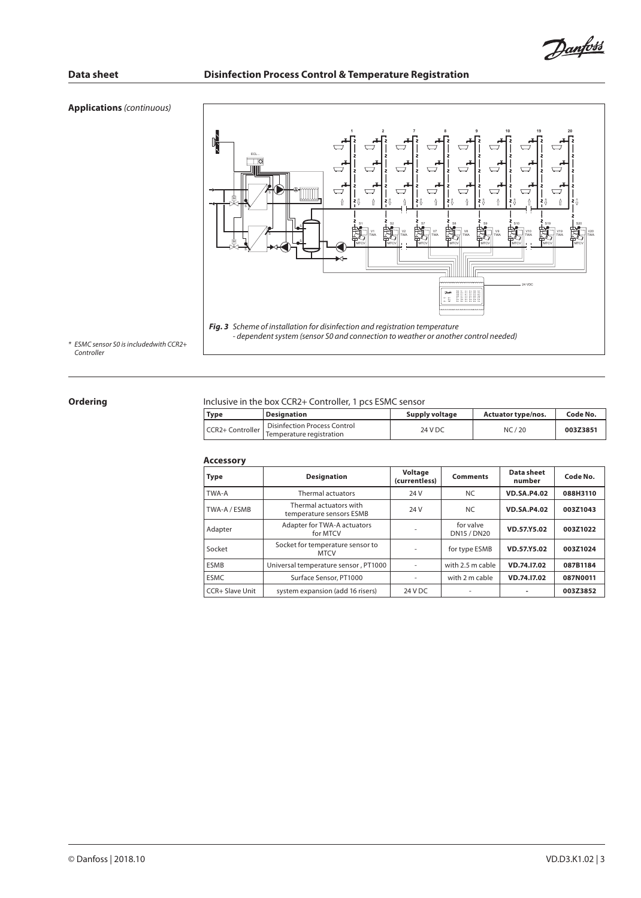# **Applications** *(continuous)*



*\* ESMC sensor S0 is includedwith CCR2+ Controller*

### **Ordering**

### Inclusive in the box CCR2+ Controller, 1 pcs ESMC sensor

| Type             | <b>Designation</b>                                       | Supply voltage | <b>Actuator type/nos.</b> | Code No. |
|------------------|----------------------------------------------------------|----------------|---------------------------|----------|
| CCR2+ Controller | Disinfection Process Control<br>Temperature registration | 24 V DC        | NC/20                     | 003Z3851 |

### **Accessory**

| <b>Type</b>       | <b>Designation</b>                                 | Voltage<br>(currentless) | <b>Comments</b>                 | Data sheet<br>number | Code No. |
|-------------------|----------------------------------------------------|--------------------------|---------------------------------|----------------------|----------|
| TWA-A             | Thermal actuators                                  | 24 V                     | <b>NC</b>                       | <b>VD.SA.P4.02</b>   | 088H3110 |
| TWA-A / ESMB      | Thermal actuators with<br>temperature sensors ESMB | 24 V                     | <b>NC</b>                       | <b>VD.SA.P4.02</b>   | 003Z1043 |
| Adapter           | Adapter for TWA-A actuators<br>for MTCV            |                          | for valve<br><b>DN15 / DN20</b> | VD.57.Y5.02          | 003Z1022 |
| Socket            | Socket for temperature sensor to<br><b>MTCV</b>    |                          | for type ESMB                   | VD.57.Y5.02          | 003Z1024 |
| <b>ESMB</b>       | Universal temperature sensor, PT1000               |                          | with 2.5 m cable                | VD.74.17.02          | 087B1184 |
| <b>ESMC</b>       | Surface Sensor, PT1000                             |                          | with 2 m cable                  | VD.74.17.02          | 087N0011 |
| l CCR+ Slave Unit | system expansion (add 16 risers)                   | 24 V DC                  |                                 |                      | 003Z3852 |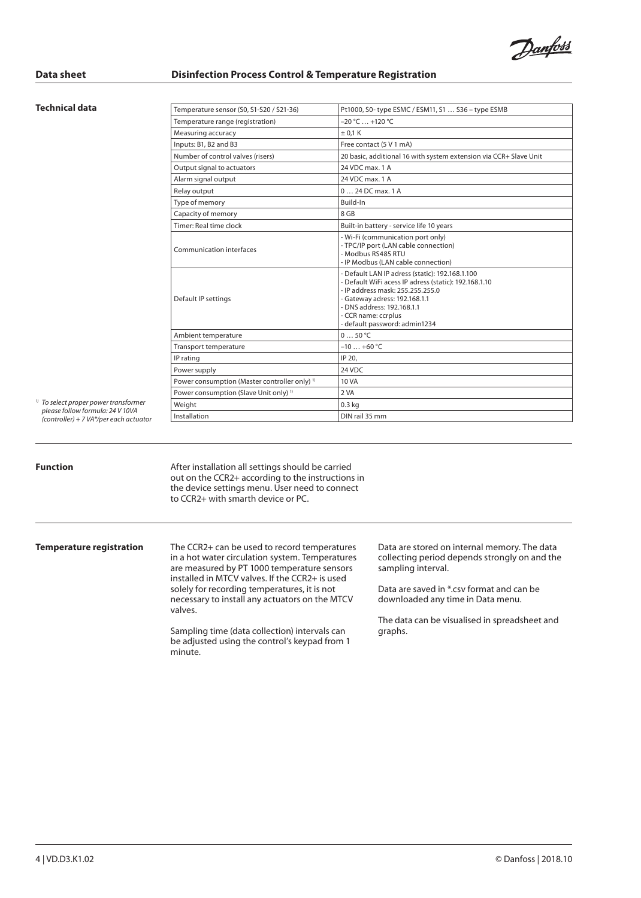Danfoss

### **Technical data**

| $-20 °C  +120 °C$                                                                                                                                                                                                                                                   |
|---------------------------------------------------------------------------------------------------------------------------------------------------------------------------------------------------------------------------------------------------------------------|
|                                                                                                                                                                                                                                                                     |
| ± 0.1 K                                                                                                                                                                                                                                                             |
| Free contact (5 V 1 mA)                                                                                                                                                                                                                                             |
| 20 basic, additional 16 with system extension via CCR+ Slave Unit                                                                                                                                                                                                   |
| 24 VDC max. 1 A                                                                                                                                                                                                                                                     |
| 24 VDC max. 1 A                                                                                                                                                                                                                                                     |
| 0  24 DC max. 1 A                                                                                                                                                                                                                                                   |
| Build-In                                                                                                                                                                                                                                                            |
| 8 GB                                                                                                                                                                                                                                                                |
| Built-in battery - service life 10 years                                                                                                                                                                                                                            |
| - Wi-Fi (communication port only)<br>- TPC/IP port (LAN cable connection)<br>- Modbus RS485 RTU<br>- IP Modbus (LAN cable connection)                                                                                                                               |
| - Default LAN IP adress (static): 192.168.1.100<br>- Default WiFi acess IP adress (static): 192.168.1.10<br>- IP address mask: 255.255.255.0<br>- Gateway adress: 192.168.1.1<br>- DNS address: 192.168.1.1<br>- CCR name: ccrplus<br>- default password: admin1234 |
| 050 °C                                                                                                                                                                                                                                                              |
| $-10+60$ °C                                                                                                                                                                                                                                                         |
| IP 20.                                                                                                                                                                                                                                                              |
| 24 VDC                                                                                                                                                                                                                                                              |
| 10 VA                                                                                                                                                                                                                                                               |
| 2 VA                                                                                                                                                                                                                                                                |
| 0.3 <sub>kq</sub>                                                                                                                                                                                                                                                   |
|                                                                                                                                                                                                                                                                     |
|                                                                                                                                                                                                                                                                     |

*1) To select proper power transformer please follow formula: 24 V 10VA (controller) + 7 VA\*/per each actuator*

**Function Exercise 3 After installation all settings should be carried** out on the CCR2+ according to the instructions in the device settings menu. User need to connect to CCR2+ with smarth device or PC.

**Temperature registration** The CCR2+ can be used to record temperatures in a hot water circulation system. Temperatures are measured by PT 1000 temperature sensors installed in MTCV valves. If the CCR2+ is used solely for recording temperatures, it is not necessary to install any actuators on the MTCV valves.

> Sampling time (data collection) intervals can be adjusted using the control's keypad from 1 minute.

Data are stored on internal memory. The data collecting period depends strongly on and the sampling interval.

Data are saved in \*.csv format and can be downloaded any time in Data menu.

The data can be visualised in spreadsheet and graphs.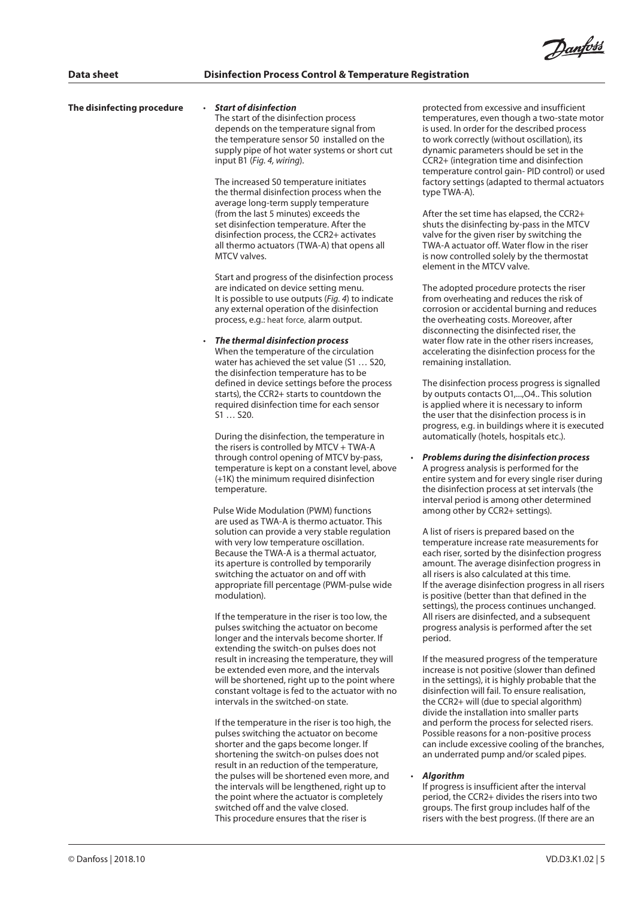| The disinfecting procedure | <b>Start of disinfection</b><br>The start of the disinfection process<br>depends on the temperature signal from<br>the temperature sensor S0 installed on the<br>supply pipe of hot water systems or short cut<br>input B1 (Fig. 4, wiring).<br>The increased S0 temperature initiates<br>the thermal disinfection process when the<br>average long-term supply temperature                                                     | protected from ex<br>temperatures, eve<br>is used. In order fo<br>to work correctly<br>dynamic paramet<br>CCR2+ (integratio<br>temperature cont<br>factory settings (a<br>type TWA-A).                  |
|----------------------------|---------------------------------------------------------------------------------------------------------------------------------------------------------------------------------------------------------------------------------------------------------------------------------------------------------------------------------------------------------------------------------------------------------------------------------|---------------------------------------------------------------------------------------------------------------------------------------------------------------------------------------------------------|
|                            | (from the last 5 minutes) exceeds the<br>set disinfection temperature. After the<br>disinfection process, the CCR2+ activates<br>all thermo actuators (TWA-A) that opens all<br>MTCV valves.                                                                                                                                                                                                                                    | After the set time<br>shuts the disinfec<br>valve for the give<br>TWA-A actuator c<br>is now controlled<br>element in the M                                                                             |
|                            | Start and progress of the disinfection process<br>are indicated on device setting menu.<br>It is possible to use outputs (Fig. 4) to indicate<br>any external operation of the disinfection<br>process, e.g.: heat force, alarm output.                                                                                                                                                                                         | The adopted prod<br>from overheating<br>corrosion or accid<br>the overheating o<br>disconnecting the                                                                                                    |
|                            | The thermal disinfection process<br>$\bullet$<br>When the temperature of the circulation<br>water has achieved the set value (S1  S20,<br>the disinfection temperature has to be<br>defined in device settings before the process                                                                                                                                                                                               | water flow rate in<br>accelerating the c<br>remaining installa<br>The disinfection p                                                                                                                    |
|                            | starts), the CCR2+ starts to countdown the<br>required disinfection time for each sensor<br>$S1$ $S20$ .<br>During the disinfection, the temperature in                                                                                                                                                                                                                                                                         | by outputs conta<br>is applied where i<br>the user that the<br>progress, e.g. in b<br>automatically (ho                                                                                                 |
|                            | the risers is controlled by $MTCV + TWA-A$<br>through control opening of MTCV by-pass,<br>temperature is kept on a constant level, above<br>(+1K) the minimum required disinfection<br>temperature.                                                                                                                                                                                                                             | <b>Problems during</b><br>A progress analys<br>entire system and<br>the disinfection p<br>interval period is                                                                                            |
|                            | Pulse Wide Modulation (PWM) functions<br>are used as TWA-A is thermo actuator. This<br>solution can provide a very stable regulation<br>with very low temperature oscillation.<br>Because the TWA-A is a thermal actuator,<br>its aperture is controlled by temporarily<br>switching the actuator on and off with<br>appropriate fill percentage (PWM-pulse wide<br>modulation).                                                | among other by C<br>A list of risers is pr<br>temperature incre<br>each riser, sorted<br>amount. The aver<br>all risers is also ca<br>If the average disi<br>is positive (better<br>settings), the prod |
|                            | If the temperature in the riser is too low, the<br>pulses switching the actuator on become<br>longer and the intervals become shorter. If<br>extending the switch-on pulses does not<br>result in increasing the temperature, they will<br>be extended even more, and the intervals<br>will be shortened, right up to the point where<br>constant voltage is fed to the actuator with no<br>intervals in the switched-on state. | All risers are disin<br>progress analysis<br>period.<br>If the measured p<br>increase is not po<br>in the settings), it<br>disinfection will fa<br>the CCR2+ will (du<br>divide the installa            |
|                            | If the temperature in the riser is too high, the<br>pulses switching the actuator on become<br>shorter and the gaps become longer. If<br>shortening the switch-on pulses does not<br>result in an reduction of the temperature,                                                                                                                                                                                                 | and perform the<br>Possible reasons f<br>can include exces<br>an underrated pu                                                                                                                          |
|                            | the pulses will be shortened even more, and<br>the intervals will be lengthened, right up to<br>the point where the actuator is completely<br>switched off and the valve closed.<br>This procedure ensures that the riser is                                                                                                                                                                                                    | <b>Algorithm</b><br>If progress is insur<br>period, the CCR2-<br>groups. The first of<br>risers with the be                                                                                             |

xcessive and insufficient en though a two-state motor or the described process (without oscillation), its ters should be set in the on time and disinfection trol gain- PID control) or used adapted to thermal actuators

has elapsed, the CCR2+ ting by-pass in the MTCV n riser by switching the off. Water flow in the riser solely by the thermostat TCV valve.

cedure protects the riser and reduces the risk of dental burning and reduces tosts. Moreover, after e disinfected riser, the the other risers increases. disinfection process for the ation

process progress is signalled  $\cot 01$ ..., $\cot 04$ .. This solution it is necessary to inform disinfection process is in puildings where it is executed tels, hospitals etc.).

• *Problems during the disinfection process* is is performed for the d for every single riser during process at set intervals (the among other determined  $CCR2+$  settings).

repared based on the ease rate measurements for by the disinfection progress rage disinfection progress in l culated at this time. infection progress in all risers than that defined in the cess continues unchanged. fected, and a subsequent is performed after the set

If or the temperature increase is not positive (slower than defined is highly probable that the ail. To ensure realisation, ue to special algorithm) ation into smaller parts process for selected risers. .<br>for a non-positive process ssive cooling of the branches, imp and/or scaled pipes.

fficient after the interval + divides the risers into two group includes half of the st progress. (If there are an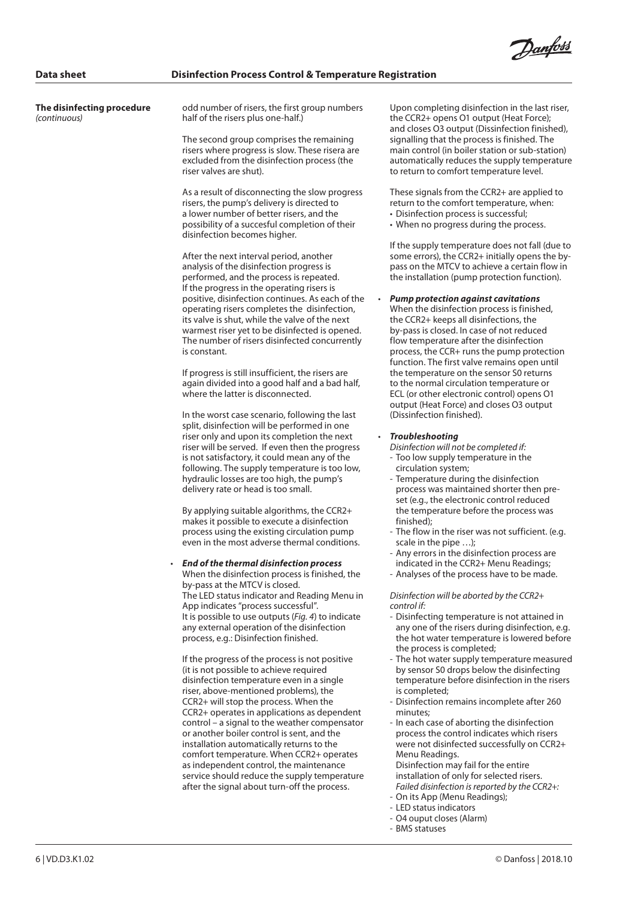<u>Danfoss</u>

**The disinfecting procedure**  *(continuous)*

odd number of risers, the first group numbers half of the risers plus one-half.)

The second group comprises the remaining risers where progress is slow. These risera are excluded from the disinfection process (the riser valves are shut).

As a result of disconnecting the slow progress risers, the pump's delivery is directed to a lower number of better risers, and the possibility of a succesful completion of their disinfection becomes higher.

After the next interval period, another analysis of the disinfection progress is performed, and the process is repeated. If the progress in the operating risers is positive, disinfection continues. As each of the operating risers completes the disinfection, its valve is shut, while the valve of the next warmest riser yet to be disinfected is opened. The number of risers disinfected concurrently is constant.

If progress is still insufficient, the risers are again divided into a good half and a bad half, where the latter is disconnected.

In the worst case scenario, following the last split, disinfection will be performed in one riser only and upon its completion the next riser will be served. If even then the progress is not satisfactory, it could mean any of the following. The supply temperature is too low, hydraulic losses are too high, the pump's delivery rate or head is too small.

By applying suitable algorithms, the CCR2+ makes it possible to execute a disinfection process using the existing circulation pump even in the most adverse thermal conditions.

• *End of the thermal disinfection process* When the disinfection process is finished, the by-pass at the MTCV is closed. The LED status indicator and Reading Menu in App indicates "process successful". It is possible to use outputs (*Fig. 4*) to indicate any external operation of the disinfection process, e.g.: Disinfection finished.

If the progress of the process is not positive (it is not possible to achieve required disinfection temperature even in a single riser, above-mentioned problems), the CCR2+ will stop the process. When the CCR2+ operates in applications as dependent control – a signal to the weather compensator or another boiler control is sent, and the installation automatically returns to the comfort temperature. When CCR2+ operates as independent control, the maintenance service should reduce the supply temperature after the signal about turn-off the process.

Upon completing disinfection in the last riser, the CCR2+ opens O1 output (Heat Force); and closes O3 output (Dissinfection finished), signalling that the process is finished. The main control (in boiler station or sub-station) automatically reduces the supply temperature to return to comfort temperature level.

These signals from the CCR2+ are applied to return to the comfort temperature, when:

- Disinfection process is successful;
- When no progress during the process.

If the supply temperature does not fall (due to some errors), the CCR2+ initially opens the bypass on the MTCV to achieve a certain flow in the installation (pump protection function).

• *Pump protection against cavitations*

When the disinfection process is finished, the CCR2+ keeps all disinfections, the by-pass is closed. In case of not reduced flow temperature after the disinfection process, the CCR+ runs the pump protection function. The first valve remains open until the temperature on the sensor S0 returns to the normal circulation temperature or ECL (or other electronic control) opens O1 output (Heat Force) and closes O3 output (Dissinfection finished).

### • *Troubleshooting*

*Disinfection will not be completed if:*

- Too low supply temperature in the circulation system;
- Temperature during the disinfection process was maintained shorter then preset (e.g., the electronic control reduced the temperature before the process was finished);
- The flow in the riser was not sufficient. (e.g. scale in the pipe …);
- Any errors in the disinfection process are indicated in the CCR2+ Menu Readings;
- Analyses of the process have to be made.

*Disinfection will be aborted by the CCR2+ control if:*

- Disinfecting temperature is not attained in any one of the risers during disinfection, e.g. the hot water temperature is lowered before the process is completed;
- The hot water supply temperature measured by sensor S0 drops below the disinfecting temperature before disinfection in the risers is completed;
- Disinfection remains incomplete after 260 minutes;
- In each case of aborting the disinfection process the control indicates which risers were not disinfected successfully on CCR2+ Menu Readings.

Disinfection may fail for the entire installation of only for selected risers. *Failed disinfection is reported by the CCR2+:*

- On its App (Menu Readings);
- LED status indicators - O4 ouput closes (Alarm)
- 
- BMS statuses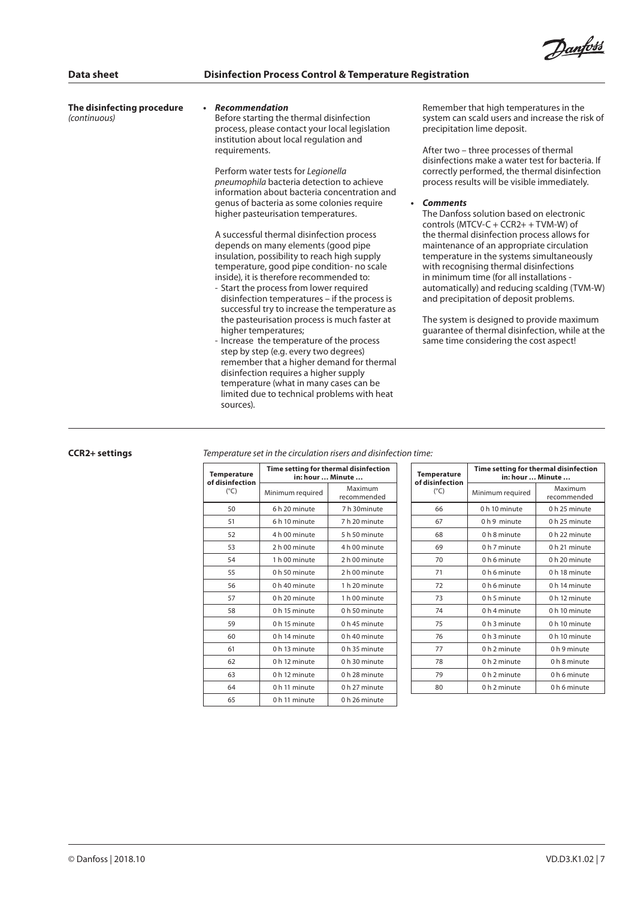

| The disinfecting procedure<br>(continuous) | Recommendation<br>Before starting the thermal disinfection<br>process, please contact your local legislation<br>institution about local regulation and<br>requirements.<br>Perform water tests for Legionella<br>pneumophila bacteria detection to achieve<br>information about bacteria concentration and<br>genus of bacteria as some colonies require<br>$\bullet$                                                                                                                                                                                                                                                                                                                                                                                       | Remember that high temperatures in the<br>system can scald users and increase the risk of<br>precipitation lime deposit.<br>After two – three processes of thermal<br>disinfections make a water test for bacteria. If<br>correctly performed, the thermal disinfection<br>process results will be visible immediately.<br><b>Comments</b>                                                                                                                                                                                                          |
|--------------------------------------------|-------------------------------------------------------------------------------------------------------------------------------------------------------------------------------------------------------------------------------------------------------------------------------------------------------------------------------------------------------------------------------------------------------------------------------------------------------------------------------------------------------------------------------------------------------------------------------------------------------------------------------------------------------------------------------------------------------------------------------------------------------------|-----------------------------------------------------------------------------------------------------------------------------------------------------------------------------------------------------------------------------------------------------------------------------------------------------------------------------------------------------------------------------------------------------------------------------------------------------------------------------------------------------------------------------------------------------|
|                                            | higher pasteurisation temperatures.<br>A successful thermal disinfection process<br>depends on many elements (good pipe<br>insulation, possibility to reach high supply<br>temperature, good pipe condition- no scale<br>inside), it is therefore recommended to:<br>- Start the process from lower required<br>disinfection temperatures - if the process is<br>successful try to increase the temperature as<br>the pasteurisation process is much faster at<br>higher temperatures;<br>- Increase the temperature of the process<br>step by step (e.g. every two degrees)<br>remember that a higher demand for thermal<br>disinfection requires a higher supply<br>temperature (what in many cases can be<br>limited due to technical problems with heat | The Danfoss solution based on electronic<br>controls (MTCV-C + CCR2+ + TVM-W) of<br>the thermal disinfection process allows for<br>maintenance of an appropriate circulation<br>temperature in the systems simultaneously<br>with recognising thermal disinfections<br>in minimum time (for all installations -<br>automatically) and reducing scalding (TVM-W)<br>and precipitation of deposit problems.<br>The system is designed to provide maximum<br>guarantee of thermal disinfection, while at the<br>same time considering the cost aspect! |

# **CCR2+ settings**

*Temperature set in the circulation risers and disinfection time:*

sources).

| <b>Temperature</b><br>of disinfection | Time setting for thermal disinfection<br>in: hour  Minute |                        |  |
|---------------------------------------|-----------------------------------------------------------|------------------------|--|
| $(^{\circ}C)$                         | Minimum required                                          | Maximum<br>recommended |  |
| 50                                    | 6 h 20 minute                                             | 7 h 30 minute          |  |
| 51                                    | 6 h 10 minute                                             | 7 h 20 minute          |  |
| 52                                    | 4 h 00 minute                                             | 5 h 50 minute          |  |
| 53                                    | 2 h 00 minute                                             | 4 h 00 minute          |  |
| 54                                    | 1 h 00 minute                                             | 2 h 00 minute          |  |
| 55                                    | 0 h 50 minute                                             | 2 h 00 minute          |  |
| 56                                    | 0 h 40 minute                                             | 1 h 20 minute          |  |
| 57                                    | 0 h 20 minute                                             | 1 h 00 minute          |  |
| 58                                    | 0 h 15 minute                                             | 0 h 50 minute          |  |
| 59                                    | 0 h 15 minute                                             | 0 h 45 minute          |  |
| 60                                    | 0 h 14 minute                                             | 0 h 40 minute          |  |
| 61                                    | 0 h 13 minute                                             | 0 h 35 minute          |  |
| 62                                    | 0 h 12 minute                                             | 0 h 30 minute          |  |
| 63                                    | 0 h 12 minute                                             | 0 h 28 minute          |  |
| 64                                    | 0 h 11 minute                                             | 0 h 27 minute          |  |
| 65                                    | 0 h 11 minute                                             | 0 h 26 minute          |  |

| <b>Temperature</b><br>of disinfection | Time setting for thermal disinfection<br>in: hour  Minute |                        |  |
|---------------------------------------|-----------------------------------------------------------|------------------------|--|
| $(^{\circ}C)$                         | Minimum required                                          | Maximum<br>recommended |  |
| 66                                    | 0 h 10 minute                                             | 0 h 25 minute          |  |
| 67                                    | 0 h 9 minute                                              | 0 h 25 minute          |  |
| 68                                    | 0 h 8 minute                                              | 0 h 22 minute          |  |
| 69                                    | 0 h 7 minute                                              | 0 h 21 minute          |  |
| 70                                    | 0 h 6 minute                                              | 0 h 20 minute          |  |
| 71                                    | 0 h 6 minute                                              | 0 h 18 minute          |  |
| 72                                    | 0 h 6 minute                                              | 0 h 14 minute          |  |
| 73                                    | 0 h 5 minute                                              | 0 h 12 minute          |  |
| 74                                    | 0 h 4 minute                                              | 0 h 10 minute          |  |
| 75                                    | 0 h 3 minute                                              | 0 h 10 minute          |  |
| 76                                    | 0 h 3 minute                                              | 0 h 10 minute          |  |
| 77                                    | 0 h 2 minute                                              | 0 h 9 minute           |  |
| 78                                    | 0 h 2 minute                                              | 0 h 8 minute           |  |
| 79                                    | 0 h 2 minute                                              | 0 h 6 minute           |  |
| 80                                    | 0 h 2 minute                                              | 0 h 6 minute           |  |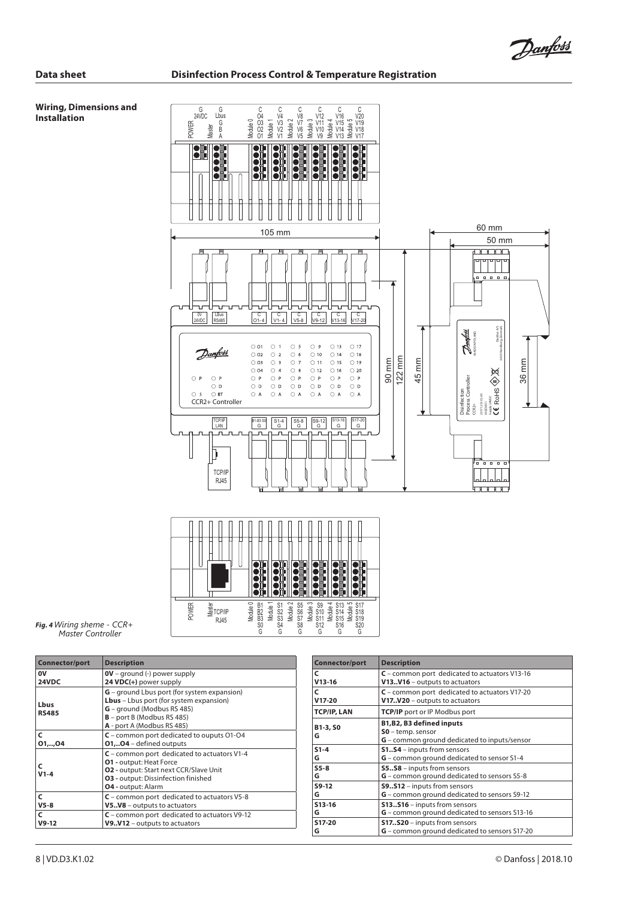#### **Wiring, Dimensions and Installation**





*Fig. 4 Wiring sheme - CCR+ Master Controller*

| <b>Connector/port</b> | <b>Description</b>                                                                                                                                                                                   |  |
|-----------------------|------------------------------------------------------------------------------------------------------------------------------------------------------------------------------------------------------|--|
| 0V                    | $OV - ground (-) power supply$                                                                                                                                                                       |  |
| 24VDC                 | 24 VDC(+) power supply                                                                                                                                                                               |  |
| Lbus<br><b>RS485</b>  | <b>G</b> – ground Lbus port (for system expansion)<br>Lbus - Lbus port (for system expansion)<br><b>G</b> – ground (Modbus RS 485)<br>$B$ – port B (Modbus RS 485)<br>A - port A (Modbus RS 485)     |  |
| C                     | $C$ – common port dedicated to ouputs 01-04                                                                                                                                                          |  |
| 01,, 04               | <b>0104</b> – defined outputs                                                                                                                                                                        |  |
| $V1-4$                | $C$ – common port dedicated to actuators V1-4<br><b>01 - output: Heat Force</b><br><b>02 - output: Start next CCR/Slave Unit</b><br><b>03</b> - output: Dissinfection finished<br>04 - output: Alarm |  |
| C                     | $C$ – common port dedicated to actuators V5-8                                                                                                                                                        |  |
| $V5-8$                | V5V8 – outputs to actuators                                                                                                                                                                          |  |
| C                     | $C$ – common port dedicated to actuators V9-12                                                                                                                                                       |  |
| $V9-12$               | $V9V12$ – outputs to actuators                                                                                                                                                                       |  |

| Connector/port     | <b>Description</b>                                                                             |  |
|--------------------|------------------------------------------------------------------------------------------------|--|
| C                  | $C$ – common port dedicated to actuators V13-16                                                |  |
| $V13-16$           | V13V16 - outputs to actuators                                                                  |  |
| C                  | $C$ – common port dedicated to actuators V17-20                                                |  |
| $V17-20$           | V17V20 - outputs to actuators                                                                  |  |
| <b>TCP/IP, LAN</b> | <b>TCP/IP</b> port or IP Modbus port                                                           |  |
| B1-3, SO<br>G      | B1, B2, B3 defined inputs<br>SO - temp. sensor<br>G – common ground dedicated to inputs/sensor |  |
| $S1-4$             | S1S4 - inputs from sensors                                                                     |  |
| G                  | G - common ground dedicated to sensor S1-4                                                     |  |
| $S5-8$             | <b>S5S8</b> - inputs from sensors                                                              |  |
| G                  | G - common ground dedicated to sensors S5-8                                                    |  |
| S9-12              | <b>S9512</b> - inputs from sensors                                                             |  |
| G                  | G - common ground dedicated to sensors S9-12                                                   |  |
| S13-16             | S13S16 - inputs from sensors                                                                   |  |
| G                  | G - common ground dedicated to sensors S13-16                                                  |  |
| S17-20             | <b>S17S20</b> - inputs from sensors                                                            |  |
| G                  | G - common ground dedicated to sensors S17-20                                                  |  |

Danfoss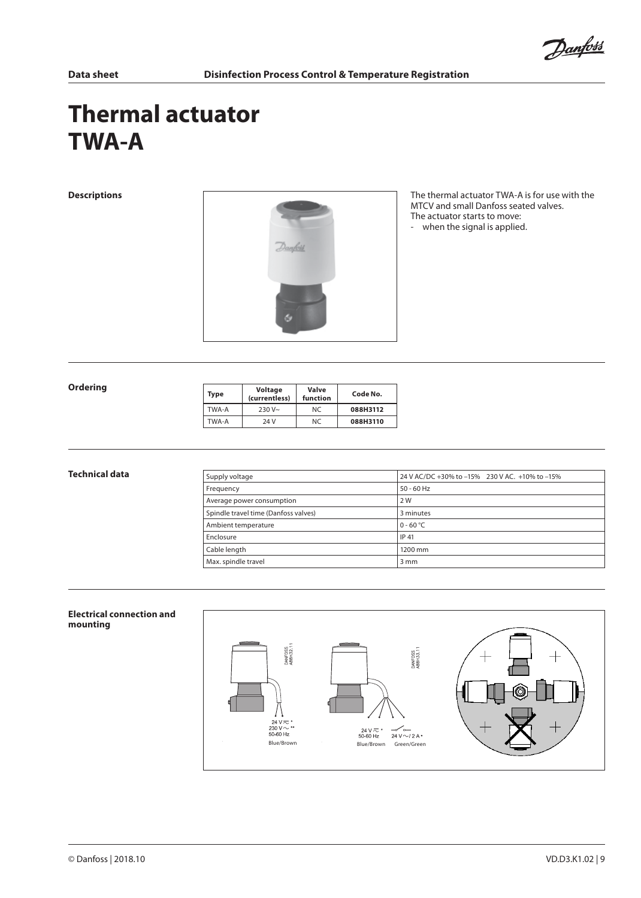Danfoss

# **Thermal actuator TWA-A**



**Descriptions Descriptions** The thermal actuator TWA-A is for use with the MTCV and small Danfoss seated valves. The actuator starts to move: - when the signal is applied.

#### **Ordering**

| Type  | Voltage<br>(currentless) | Valve<br>function | Code No. |
|-------|--------------------------|-------------------|----------|
| TWA-A | $230V -$                 | NC.               | 088H3112 |
| TWA-A | 24 V                     | NC.               | 088H3110 |

| Technical data | Supply voltage                       | 24 V AC/DC +30% to -15% 230 V AC. +10% to -15% |
|----------------|--------------------------------------|------------------------------------------------|
|                | Frequency                            | $50 - 60$ Hz                                   |
|                | Average power consumption            | 2 W                                            |
|                | Spindle travel time (Danfoss valves) | 3 minutes                                      |
|                | Ambient temperature                  | $0 - 60 °C$                                    |
|                | Enclosure                            | IP 41                                          |
|                | Cable length                         | 1200 mm                                        |
|                | Max. spindle travel                  | $3 \, \text{mm}$                               |

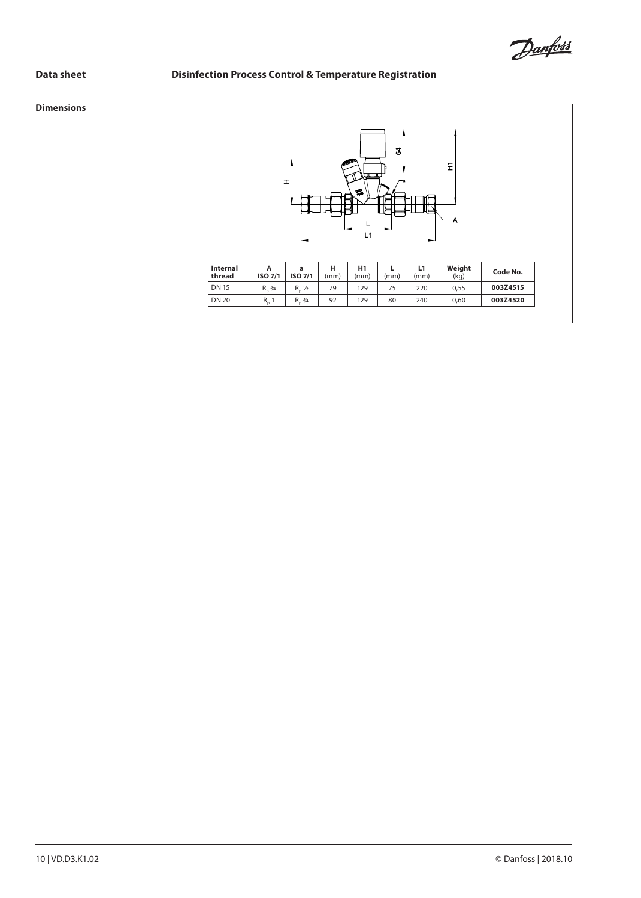Danfoss

## **Dimensions**

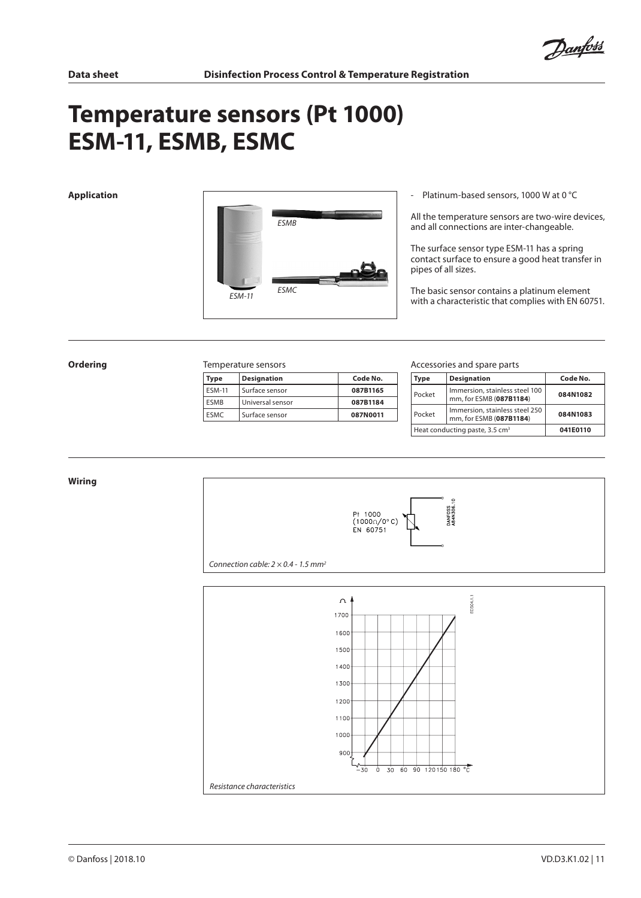Danfoss

# **Temperature sensors (Pt 1000) ESM-11, ESMB, ESMC**



All the temperature sensors are two-wire devices, and all connections are inter-changeable.

The surface sensor type ESM-11 has a spring contact surface to ensure a good heat transfer in pipes of all sizes.

The basic sensor contains a platinum element with a characteristic that complies with EN 60751.

#### **Ordering** Temperature sensors

| Type          | <b>Designation</b> | Code No. |
|---------------|--------------------|----------|
| <b>ESM-11</b> | Surface sensor     | 087B1165 |
| <b>FSMR</b>   | Universal sensor   | 087B1184 |
| <b>FSMC</b>   | Surface sensor     | 087N0011 |

#### Accessories and spare parts

| Type                                       | <b>Designation</b>                                                    | Code No. |
|--------------------------------------------|-----------------------------------------------------------------------|----------|
| Pocket                                     | Immersion, stainless steel 100<br>084N1082<br>mm, for ESMB (087B1184) |          |
| Pocket                                     | Immersion, stainless steel 250<br>mm, for ESMB (087B1184)             | 084N1083 |
| Heat conducting paste, 3.5 cm <sup>3</sup> | 041E0110                                                              |          |

#### **Wiring**